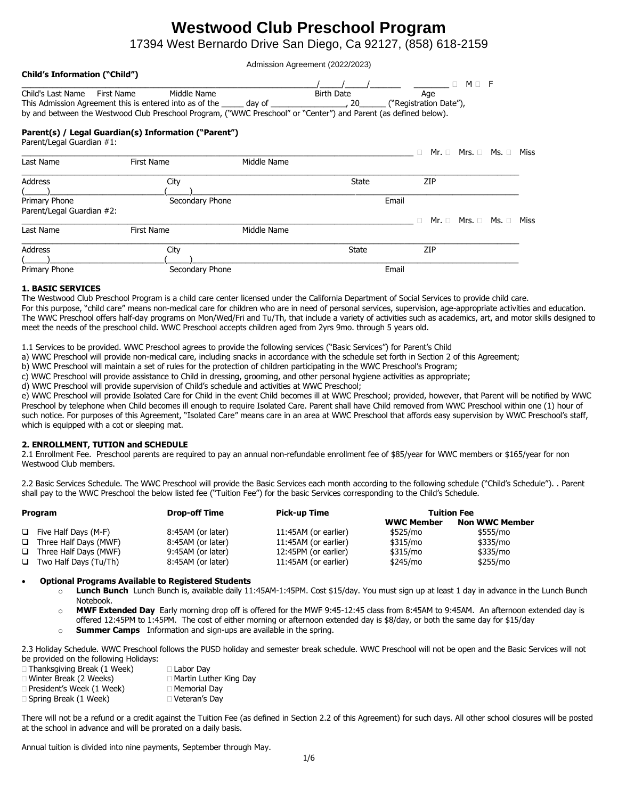# **Westwood Club Preschool Program**

17394 West Bernardo Drive San Diego, Ca 92127, (858) 618-2159

Admission Agreement (2022/2023)

| <b>Child's Information ("Child")</b> |                                                                                                                  |             |                   |                        |                                   |      |
|--------------------------------------|------------------------------------------------------------------------------------------------------------------|-------------|-------------------|------------------------|-----------------------------------|------|
|                                      |                                                                                                                  |             |                   |                        | $M \Box F$<br>п                   |      |
| Child's Last Name<br>First Name      | Middle Name                                                                                                      |             | <b>Birth Date</b> | Age                    |                                   |      |
|                                      | This Admission Agreement this is entered into as of the ______ day of ___________                                |             | 20                | ("Registration Date"), |                                   |      |
|                                      | by and between the Westwood Club Preschool Program, ("WWC Preschool" or "Center") and Parent (as defined below). |             |                   |                        |                                   |      |
| Parent/Legal Guardian #1:            | Parent(s) / Legal Guardian(s) Information ("Parent")                                                             |             |                   |                        |                                   |      |
|                                      |                                                                                                                  |             |                   | п.                     | $Mr. \Box$ Mrs. $\Box$ Ms. $\Box$ | Miss |
| Last Name                            | First Name                                                                                                       | Middle Name |                   |                        |                                   |      |
| <b>Address</b>                       | City                                                                                                             |             | State             | <b>ZIP</b>             |                                   |      |
|                                      |                                                                                                                  |             |                   |                        |                                   |      |
| Primary Phone                        | Secondary Phone                                                                                                  |             |                   | Email                  |                                   |      |
| Parent/Legal Guardian #2:            |                                                                                                                  |             |                   |                        |                                   |      |
|                                      |                                                                                                                  |             |                   |                        | $Mr. \Box$ Mrs. $\Box$ Ms. $\Box$ | Miss |
| Last Name                            | First Name                                                                                                       | Middle Name |                   |                        |                                   |      |
| Address                              | City                                                                                                             |             | State             | ZIP                    |                                   |      |
|                                      |                                                                                                                  |             |                   |                        |                                   |      |
| Primary Phone                        | Secondary Phone                                                                                                  |             |                   | Email                  |                                   |      |

# **1. BASIC SERVICES**

The Westwood Club Preschool Program is a child care center licensed under the California Department of Social Services to provide child care. For this purpose, "child care" means non-medical care for children who are in need of personal services, supervision, age-appropriate activities and education. The WWC Preschool offers half-day programs on Mon/Wed/Fri and Tu/Th, that include a variety of activities such as academics, art, and motor skills designed to meet the needs of the preschool child. WWC Preschool accepts children aged from 2yrs 9mo. through 5 years old.

1.1 Services to be provided. WWC Preschool agrees to provide the following services ("Basic Services") for Parent's Child

a) WWC Preschool will provide non-medical care, including snacks in accordance with the schedule set forth in Section 2 of this Agreement;

b) WWC Preschool will maintain a set of rules for the protection of children participating in the WWC Preschool's Program;

c) WWC Preschool will provide assistance to Child in dressing, grooming, and other personal hygiene activities as appropriate;

d) WWC Preschool will provide supervision of Child's schedule and activities at WWC Preschool;

e) WWC Preschool will provide Isolated Care for Child in the event Child becomes ill at WWC Preschool; provided, however, that Parent will be notified by WWC Preschool by telephone when Child becomes ill enough to require Isolated Care. Parent shall have Child removed from WWC Preschool within one (1) hour of such notice. For purposes of this Agreement, "Isolated Care" means care in an area at WWC Preschool that affords easy supervision by WWC Preschool's staff, which is equipped with a cot or sleeping mat.

# **2. ENROLLMENT, TUTION and SCHEDULE**

2.1 Enrollment Fee. Preschool parents are required to pay an annual non-refundable enrollment fee of \$85/year for WWC members or \$165/year for non Westwood Club members.

2.2 Basic Services Schedule. The WWC Preschool will provide the Basic Services each month according to the following schedule ("Child's Schedule"). . Parent shall pay to the WWC Preschool the below listed fee ("Tuition Fee") for the basic Services corresponding to the Child's Schedule.

| Program |                              | <b>Drop-off Time</b> | <b>Pick-up Time</b>  | <b>Tuition Fee</b> |                       |  |
|---------|------------------------------|----------------------|----------------------|--------------------|-----------------------|--|
|         |                              |                      |                      | <b>WWC Member</b>  | <b>Non WWC Member</b> |  |
|         | $\Box$ Five Half Days (M-F)  | 8:45AM (or later)    | 11:45AM (or earlier) | \$525/mo           | \$555/mo              |  |
|         | $\Box$ Three Half Days (MWF) | 8:45AM (or later)    | 11:45AM (or earlier) | \$315/mo           | \$335/mo              |  |
| $\Box$  | Three Half Days (MWF)        | 9:45AM (or later)    | 12:45PM (or earlier) | \$315/mo           | \$335/mo              |  |
|         | $\Box$ Two Half Days (Tu/Th) | 8:45AM (or later)    | 11:45AM (or earlier) | \$245/mo           | \$255/mo              |  |

# • **Optional Programs Available to Registered Students**

- o **Lunch Bunch** Lunch Bunch is, available daily 11:45AM-1:45PM. Cost \$15/day. You must sign up at least 1 day in advance in the Lunch Bunch Notebook.
- o **MWF Extended Day** Early morning drop off is offered for the MWF 9:45-12:45 class from 8:45AM to 9:45AM. An afternoon extended day is offered 12:45PM to 1:45PM. The cost of either morning or afternoon extended day is \$8/day, or both the same day for \$15/day

o **Summer Camps** Information and sign-ups are available in the spring.

2.3 Holiday Schedule. WWC Preschool follows the PUSD holiday and semester break schedule. WWC Preschool will not be open and the Basic Services will not be provided on the following Holidays:

| $\Box$ Thanksgiving Break (1 Week) | $\Box$ Labor Day              |
|------------------------------------|-------------------------------|
| $\Box$ Winter Break (2 Weeks)      | $\Box$ Martin Luther King Day |
| $\Box$ President's Week (1 Week)   | □ Memorial Dav                |
| $\Box$ Spring Break (1 Week)       | □ Veteran's Dav               |

There will not be a refund or a credit against the Tuition Fee (as defined in Section 2.2 of this Agreement) for such days. All other school closures will be posted at the school in advance and will be prorated on a daily basis.

Annual tuition is divided into nine payments, September through May.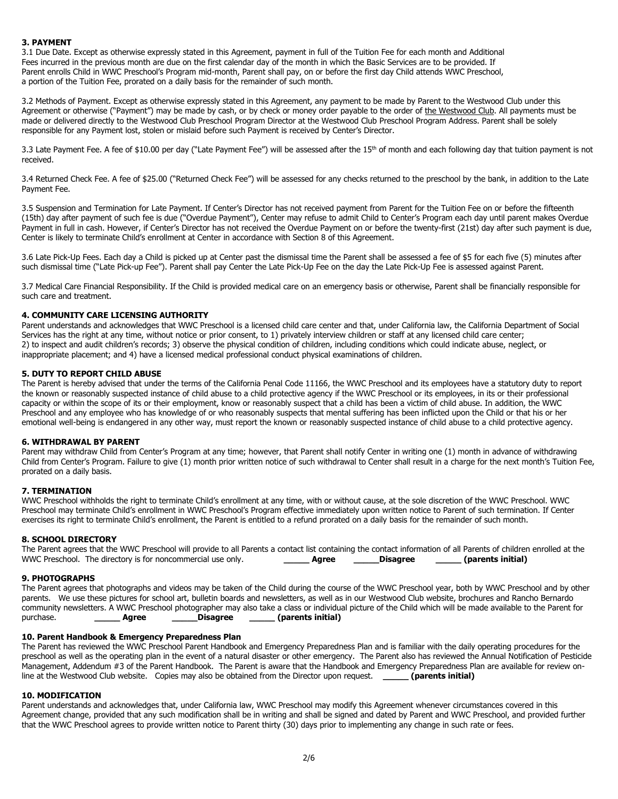# **3. PAYMENT**

3.1 Due Date. Except as otherwise expressly stated in this Agreement, payment in full of the Tuition Fee for each month and Additional Fees incurred in the previous month are due on the first calendar day of the month in which the Basic Services are to be provided. If Parent enrolls Child in WWC Preschool's Program mid-month, Parent shall pay, on or before the first day Child attends WWC Preschool, a portion of the Tuition Fee, prorated on a daily basis for the remainder of such month.

3.2 Methods of Payment. Except as otherwise expressly stated in this Agreement, any payment to be made by Parent to the Westwood Club under this Agreement or otherwise ("Payment") may be made by cash, or by check or money order payable to the order of the Westwood Club. All payments must be made or delivered directly to the Westwood Club Preschool Program Director at the Westwood Club Preschool Program Address. Parent shall be solely responsible for any Payment lost, stolen or mislaid before such Payment is received by Center's Director.

3.3 Late Payment Fee. A fee of \$10.00 per day ("Late Payment Fee") will be assessed after the 15<sup>th</sup> of month and each following day that tuition payment is not received.

3.4 Returned Check Fee. A fee of \$25.00 ("Returned Check Fee") will be assessed for any checks returned to the preschool by the bank, in addition to the Late Payment Fee.

3.5 Suspension and Termination for Late Payment. If Center's Director has not received payment from Parent for the Tuition Fee on or before the fifteenth (15th) day after payment of such fee is due ("Overdue Payment"), Center may refuse to admit Child to Center's Program each day until parent makes Overdue Payment in full in cash. However, if Center's Director has not received the Overdue Payment on or before the twenty-first (21st) day after such payment is due, Center is likely to terminate Child's enrollment at Center in accordance with Section 8 of this Agreement.

3.6 Late Pick-Up Fees. Each day a Child is picked up at Center past the dismissal time the Parent shall be assessed a fee of \$5 for each five (5) minutes after such dismissal time ("Late Pick-up Fee"). Parent shall pay Center the Late Pick-Up Fee on the day the Late Pick-Up Fee is assessed against Parent.

3.7 Medical Care Financial Responsibility. If the Child is provided medical care on an emergency basis or otherwise, Parent shall be financially responsible for such care and treatment.

# **4. COMMUNITY CARE LICENSING AUTHORITY**

Parent understands and acknowledges that WWC Preschool is a licensed child care center and that, under California law, the California Department of Social Services has the right at any time, without notice or prior consent, to 1) privately interview children or staff at any licensed child care center; 2) to inspect and audit children's records; 3) observe the physical condition of children, including conditions which could indicate abuse, neglect, or inappropriate placement; and 4) have a licensed medical professional conduct physical examinations of children.

# **5. DUTY TO REPORT CHILD ABUSE**

The Parent is hereby advised that under the terms of the California Penal Code 11166, the WWC Preschool and its employees have a statutory duty to report the known or reasonably suspected instance of child abuse to a child protective agency if the WWC Preschool or its employees, in its or their professional capacity or within the scope of its or their employment, know or reasonably suspect that a child has been a victim of child abuse. In addition, the WWC Preschool and any employee who has knowledge of or who reasonably suspects that mental suffering has been inflicted upon the Child or that his or her emotional well-being is endangered in any other way, must report the known or reasonably suspected instance of child abuse to a child protective agency.

# **6. WITHDRAWAL BY PARENT**

Parent may withdraw Child from Center's Program at any time; however, that Parent shall notify Center in writing one (1) month in advance of withdrawing Child from Center's Program. Failure to give (1) month prior written notice of such withdrawal to Center shall result in a charge for the next month's Tuition Fee, prorated on a daily basis.

# **7. TERMINATION**

WWC Preschool withholds the right to terminate Child's enrollment at any time, with or without cause, at the sole discretion of the WWC Preschool. WWC Preschool may terminate Child's enrollment in WWC Preschool's Program effective immediately upon written notice to Parent of such termination. If Center exercises its right to terminate Child's enrollment, the Parent is entitled to a refund prorated on a daily basis for the remainder of such month.

# **8. SCHOOL DIRECTORY**

| The Parent agrees that the WWC Preschool will provide to all Parents a contact list containing the contact information of all Parents of children enrolled at the |       |          |                   |  |
|-------------------------------------------------------------------------------------------------------------------------------------------------------------------|-------|----------|-------------------|--|
| WWC Preschool. The directory is for noncommercial use only.                                                                                                       | Aaree | Disagree | (parents initial) |  |

#### **9. PHOTOGRAPHS**

The Parent agrees that photographs and videos may be taken of the Child during the course of the WWC Preschool year, both by WWC Preschool and by other parents. We use these pictures for school art, bulletin boards and newsletters, as well as in our Westwood Club website, brochures and Rancho Bernardo community newsletters. A WWC Preschool photographer may also take a class or individual picture of the Child which will be made available to the Parent for purchase. **\_\_\_\_\_ Agree \_\_\_\_\_Disagree \_\_\_\_\_ (parents initial)**

# **10. Parent Handbook & Emergency Preparedness Plan**

The Parent has reviewed the WWC Preschool Parent Handbook and Emergency Preparedness Plan and is familiar with the daily operating procedures for the preschool as well as the operating plan in the event of a natural disaster or other emergency. The Parent also has reviewed the Annual Notification of Pesticide Management, Addendum #3 of the Parent Handbook. The Parent is aware that the Handbook and Emergency Preparedness Plan are available for review online at the Westwood Club website. Copies may also be obtained from the Director upon request. **\_\_\_\_\_ (parents initial)**

# **10. MODIFICATION**

Parent understands and acknowledges that, under California law, WWC Preschool may modify this Agreement whenever circumstances covered in this Agreement change, provided that any such modification shall be in writing and shall be signed and dated by Parent and WWC Preschool, and provided further that the WWC Preschool agrees to provide written notice to Parent thirty (30) days prior to implementing any change in such rate or fees.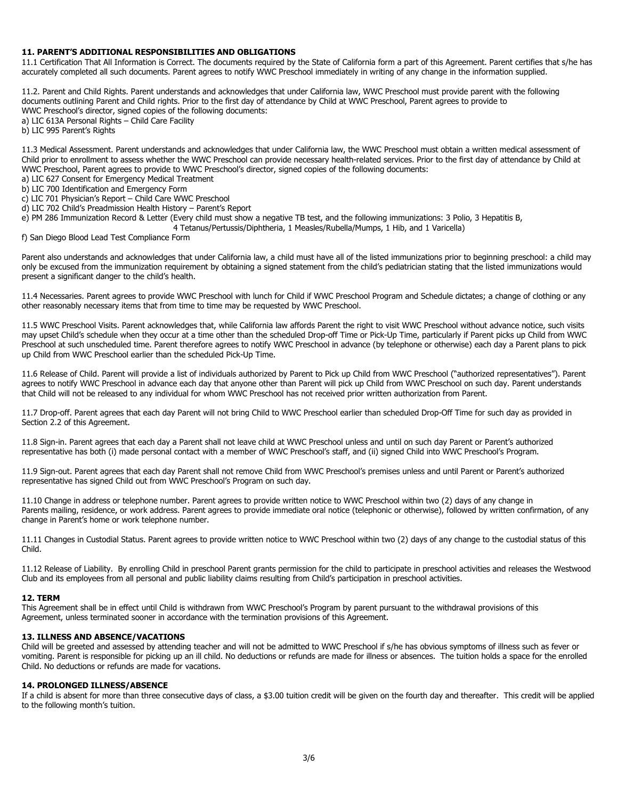## **11. PARENT'S ADDITIONAL RESPONSIBILITIES AND OBLIGATIONS**

11.1 Certification That All Information is Correct. The documents required by the State of California form a part of this Agreement. Parent certifies that s/he has accurately completed all such documents. Parent agrees to notify WWC Preschool immediately in writing of any change in the information supplied.

11.2. Parent and Child Rights. Parent understands and acknowledges that under California law, WWC Preschool must provide parent with the following documents outlining Parent and Child rights. Prior to the first day of attendance by Child at WWC Preschool, Parent agrees to provide to WWC Preschool's director, signed copies of the following documents:

a) LIC 613A Personal Rights – Child Care Facility

b) LIC 995 Parent's Rights

11.3 Medical Assessment. Parent understands and acknowledges that under California law, the WWC Preschool must obtain a written medical assessment of Child prior to enrollment to assess whether the WWC Preschool can provide necessary health-related services. Prior to the first day of attendance by Child at WWC Preschool, Parent agrees to provide to WWC Preschool's director, signed copies of the following documents:

a) LIC 627 Consent for Emergency Medical Treatment

b) LIC 700 Identification and Emergency Form

c) LIC 701 Physician's Report – Child Care WWC Preschool

d) LIC 702 Child's Preadmission Health History – Parent's Report

e) PM 286 Immunization Record & Letter (Every child must show a negative TB test, and the following immunizations: 3 Polio, 3 Hepatitis B,

4 Tetanus/Pertussis/Diphtheria, 1 Measles/Rubella/Mumps, 1 Hib, and 1 Varicella)

f) San Diego Blood Lead Test Compliance Form

Parent also understands and acknowledges that under California law, a child must have all of the listed immunizations prior to beginning preschool: a child may only be excused from the immunization requirement by obtaining a signed statement from the child's pediatrician stating that the listed immunizations would present a significant danger to the child's health.

11.4 Necessaries. Parent agrees to provide WWC Preschool with lunch for Child if WWC Preschool Program and Schedule dictates; a change of clothing or any other reasonably necessary items that from time to time may be requested by WWC Preschool.

11.5 WWC Preschool Visits. Parent acknowledges that, while California law affords Parent the right to visit WWC Preschool without advance notice, such visits may upset Child's schedule when they occur at a time other than the scheduled Drop-off Time or Pick-Up Time, particularly if Parent picks up Child from WWC Preschool at such unscheduled time. Parent therefore agrees to notify WWC Preschool in advance (by telephone or otherwise) each day a Parent plans to pick up Child from WWC Preschool earlier than the scheduled Pick-Up Time.

11.6 Release of Child. Parent will provide a list of individuals authorized by Parent to Pick up Child from WWC Preschool ("authorized representatives"). Parent agrees to notify WWC Preschool in advance each day that anyone other than Parent will pick up Child from WWC Preschool on such day. Parent understands that Child will not be released to any individual for whom WWC Preschool has not received prior written authorization from Parent.

11.7 Drop-off. Parent agrees that each day Parent will not bring Child to WWC Preschool earlier than scheduled Drop-Off Time for such day as provided in Section 2.2 of this Agreement.

11.8 Sign-in. Parent agrees that each day a Parent shall not leave child at WWC Preschool unless and until on such day Parent or Parent's authorized representative has both (i) made personal contact with a member of WWC Preschool's staff, and (ii) signed Child into WWC Preschool's Program.

11.9 Sign-out. Parent agrees that each day Parent shall not remove Child from WWC Preschool's premises unless and until Parent or Parent's authorized representative has signed Child out from WWC Preschool's Program on such day.

11.10 Change in address or telephone number. Parent agrees to provide written notice to WWC Preschool within two (2) days of any change in Parents mailing, residence, or work address. Parent agrees to provide immediate oral notice (telephonic or otherwise), followed by written confirmation, of any change in Parent's home or work telephone number.

11.11 Changes in Custodial Status. Parent agrees to provide written notice to WWC Preschool within two (2) days of any change to the custodial status of this Child.

11.12 Release of Liability. By enrolling Child in preschool Parent grants permission for the child to participate in preschool activities and releases the Westwood Club and its employees from all personal and public liability claims resulting from Child's participation in preschool activities.

#### **12. TERM**

This Agreement shall be in effect until Child is withdrawn from WWC Preschool's Program by parent pursuant to the withdrawal provisions of this Agreement, unless terminated sooner in accordance with the termination provisions of this Agreement.

## **13. ILLNESS AND ABSENCE/VACATIONS**

Child will be greeted and assessed by attending teacher and will not be admitted to WWC Preschool if s/he has obvious symptoms of illness such as fever or vomiting. Parent is responsible for picking up an ill child. No deductions or refunds are made for illness or absences. The tuition holds a space for the enrolled Child. No deductions or refunds are made for vacations.

# **14. PROLONGED ILLNESS/ABSENCE**

If a child is absent for more than three consecutive days of class, a \$3.00 tuition credit will be given on the fourth day and thereafter. This credit will be applied to the following month's tuition.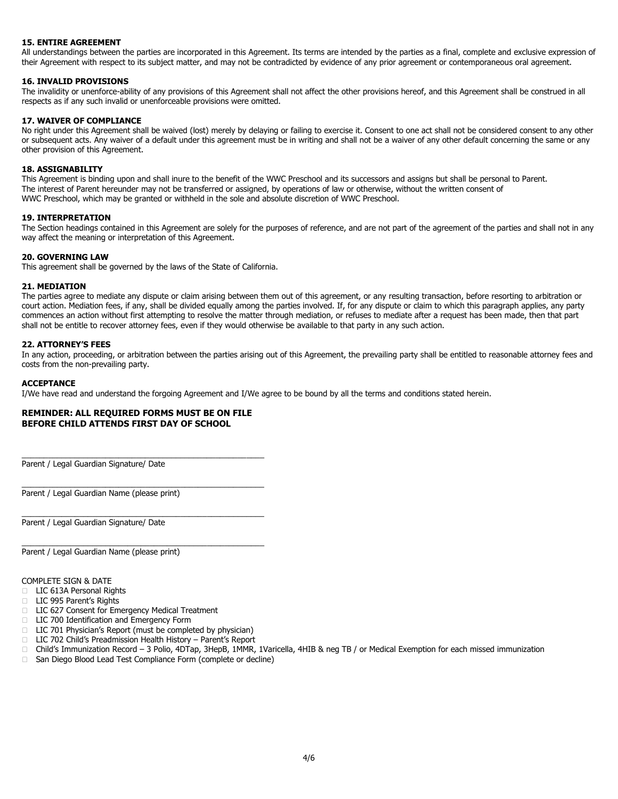# **15. ENTIRE AGREEMENT**

All understandings between the parties are incorporated in this Agreement. Its terms are intended by the parties as a final, complete and exclusive expression of their Agreement with respect to its subject matter, and may not be contradicted by evidence of any prior agreement or contemporaneous oral agreement.

# **16. INVALID PROVISIONS**

The invalidity or unenforce-ability of any provisions of this Agreement shall not affect the other provisions hereof, and this Agreement shall be construed in all respects as if any such invalid or unenforceable provisions were omitted.

#### **17. WAIVER OF COMPLIANCE**

No right under this Agreement shall be waived (lost) merely by delaying or failing to exercise it. Consent to one act shall not be considered consent to any other or subsequent acts. Any waiver of a default under this agreement must be in writing and shall not be a waiver of any other default concerning the same or any other provision of this Agreement.

#### **18. ASSIGNABILITY**

This Agreement is binding upon and shall inure to the benefit of the WWC Preschool and its successors and assigns but shall be personal to Parent. The interest of Parent hereunder may not be transferred or assigned, by operations of law or otherwise, without the written consent of WWC Preschool, which may be granted or withheld in the sole and absolute discretion of WWC Preschool.

#### **19. INTERPRETATION**

The Section headings contained in this Agreement are solely for the purposes of reference, and are not part of the agreement of the parties and shall not in any way affect the meaning or interpretation of this Agreement.

# **20. GOVERNING LAW**

This agreement shall be governed by the laws of the State of California.

#### **21. MEDIATION**

The parties agree to mediate any dispute or claim arising between them out of this agreement, or any resulting transaction, before resorting to arbitration or court action. Mediation fees, if any, shall be divided equally among the parties involved. If, for any dispute or claim to which this paragraph applies, any party commences an action without first attempting to resolve the matter through mediation, or refuses to mediate after a request has been made, then that part shall not be entitle to recover attorney fees, even if they would otherwise be available to that party in any such action.

# **22. ATTORNEY'S FEES**

In any action, proceeding, or arbitration between the parties arising out of this Agreement, the prevailing party shall be entitled to reasonable attorney fees and costs from the non-prevailing party.

#### **ACCEPTANCE**

I/We have read and understand the forgoing Agreement and I/We agree to be bound by all the terms and conditions stated herein.

### **REMINDER: ALL REQUIRED FORMS MUST BE ON FILE BEFORE CHILD ATTENDS FIRST DAY OF SCHOOL**

\_\_\_\_\_\_\_\_\_\_\_\_\_\_\_\_\_\_\_\_\_\_\_\_\_\_\_\_\_\_\_\_\_\_\_\_\_\_\_\_\_\_\_\_\_\_\_\_\_\_\_\_\_\_\_

\_\_\_\_\_\_\_\_\_\_\_\_\_\_\_\_\_\_\_\_\_\_\_\_\_\_\_\_\_\_\_\_\_\_\_\_\_\_\_\_\_\_\_\_\_\_\_\_\_\_\_\_\_\_\_

\_\_\_\_\_\_\_\_\_\_\_\_\_\_\_\_\_\_\_\_\_\_\_\_\_\_\_\_\_\_\_\_\_\_\_\_\_\_\_\_\_\_\_\_\_\_\_\_\_\_\_\_\_\_\_

 $\_$  , and the set of the set of the set of the set of the set of the set of the set of the set of the set of the set of the set of the set of the set of the set of the set of the set of the set of the set of the set of th

Parent / Legal Guardian Signature/ Date

Parent / Legal Guardian Name (please print)

Parent / Legal Guardian Signature/ Date

Parent / Legal Guardian Name (please print)

COMPLETE SIGN & DATE

- LIC 613A Personal Rights
- LIC 995 Parent's Rights
- □ LIC 627 Consent for Emergency Medical Treatment
- □ LIC 700 Identification and Emergency Form
- $\Box$  LIC 701 Physician's Report (must be completed by physician)
- □ LIC 702 Child's Preadmission Health History Parent's Report
- □ Child's Immunization Record 3 Polio, 4DTap, 3HepB, 1MMR, 1Varicella, 4HIB & neg TB / or Medical Exemption for each missed immunization
- □ San Diego Blood Lead Test Compliance Form (complete or decline)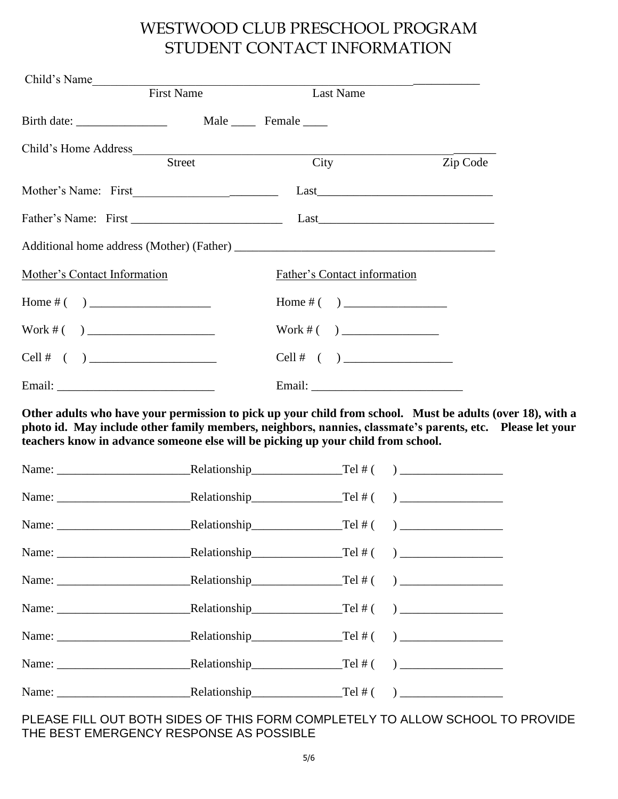# WESTWOOD CLUB PRESCHOOL PROGRAM STUDENT CONTACT INFORMATION

| Child's Name<br>First Name   | Last Name                           |          |
|------------------------------|-------------------------------------|----------|
|                              |                                     |          |
| Child's Home Address         |                                     |          |
| Street                       | City                                | Zip Code |
|                              |                                     |          |
|                              |                                     |          |
|                              |                                     |          |
| Mother's Contact Information | <b>Father's Contact information</b> |          |
|                              |                                     |          |
|                              | Work #( )                           |          |
|                              |                                     |          |
|                              |                                     |          |

**Other adults who have your permission to pick up your child from school. Must be adults (over 18), with a photo id. May include other family members, neighbors, nannies, classmate's parents, etc. Please let your teachers know in advance someone else will be picking up your child from school.**

| Name: $\qquad \qquad \text{Relationship} \qquad \qquad \text{Tel #} \qquad \qquad \text{L1}$ |  |  |
|----------------------------------------------------------------------------------------------|--|--|
|                                                                                              |  |  |
|                                                                                              |  |  |
|                                                                                              |  |  |

# PLEASE FILL OUT BOTH SIDES OF THIS FORM COMPLETELY TO ALLOW SCHOOL TO PROVIDE THE BEST EMERGENCY RESPONSE AS POSSIBLE